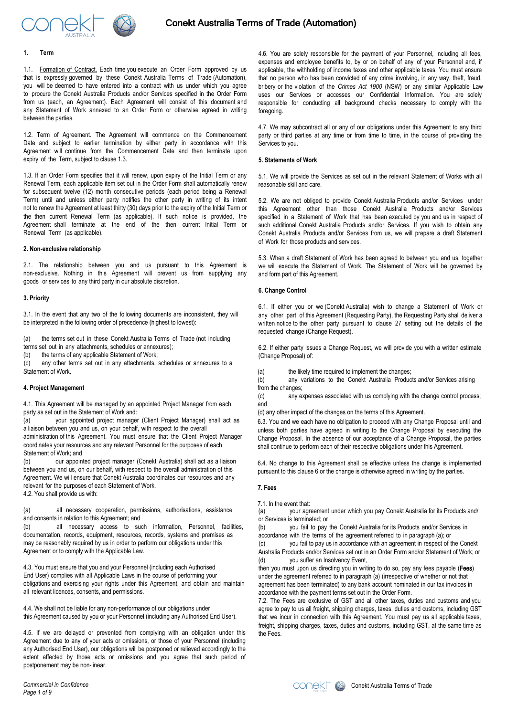

## **1. Term**

1.1. Formation of Contract. Each time you execute an Order Form approved by us that is expressly governed by these Conekt Australia Terms of Trade (Automation), you will be deemed to have entered into a contract with us under which you agree to procure the Conekt Australia Products and/or Services specified in the Order Form from us (each, an Agreement). Each Agreement will consist of this document and any Statement of Work annexed to an Order Form or otherwise agreed in writing between the parties.

1.2. Term of Agreement. The Agreement will commence on the Commencement Date and subject to earlier termination by either party in accordance with this Agreement will continue from the Commencement Date and then terminate upon expiry of the Term, subject to clause 1.3.

1.3. If an Order Form specifies that it will renew, upon expiry of the Initial Term or any Renewal Term, each applicable item set out in the Order Form shall automatically renew for subsequent twelve (12) month consecutive periods (each period being a Renewal Term) until and unless either party notifies the other party in writing of its intent not to renew the Agreement at least thirty (30) days prior to the expiry of the Initial Term or the then current Renewal Term (as applicable). If such notice is provided, the Agreement shall terminate at the end of the then current Initial Term or Renewal Term (as applicable).

## **2. Non-exclusive relationship**

2.1. The relationship between you and us pursuant to this Agreement is non-exclusive. Nothing in this Agreement will prevent us from supplying any goods or services to any third party in our absolute discretion.

#### **3. Priority**

3.1. In the event that any two of the following documents are inconsistent, they will be interpreted in the following order of precedence (highest to lowest):

(a) the terms set out in these Conekt Australia Terms of Trade (not including terms set out in any attachments, schedules or annexures);

(b) the terms of any applicable Statement of Work;<br>(c) any other terms set out in any attachments, any other terms set out in any attachments, schedules or annexures to a Statement of Work.

## **4. Project Management**

4.1. This Agreement will be managed by an appointed Project Manager from each party as set out in the Statement of Work and:

(a) your appointed project manager (Client Project Manager) shall act as a liaison between you and us, on your behalf, with respect to the overall administration of this Agreement. You must ensure that the Client Project Manager coordinates your resources and any relevant Personnel for the purposes of each Statement of Work; and

(b) our appointed project manager (Conekt Australia) shall act as a liaison between you and us, on our behalf, with respect to the overall administration of this Agreement. We will ensure that Conekt Australia coordinates our resources and any relevant for the purposes of each Statement of Work. 4.2. You shall provide us with:

(a) all necessary cooperation, permissions, authorisations, assistance and consents in relation to this Agreement; and

(b) all necessary access to such information, Personnel, facilities, documentation, records, equipment, resources, records, systems and premises as may be reasonably required by us in order to perform our obligations under this Agreement or to comply with the Applicable Law.

4.3. You must ensure that you and your Personnel (including each Authorised End User) complies with all Applicable Laws in the course of performing your obligations and exercising your rights under this Agreement, and obtain and maintain all relevant licences, consents, and permissions.

4.4. We shall not be liable for any non-performance of our obligations under this Agreement caused by you or your Personnel (including any Authorised End User).

4.5. If we are delayed or prevented from complying with an obligation under this Agreement due to any of your acts or omissions, or those of your Personnel (including any Authorised End User), our obligations will be postponed or relieved accordingly to the extent affected by those acts or omissions and you agree that such period of postponement may be non-linear.

*Commercial in Confidence Page 1 of 9* 

4.6. You are solely responsible for the payment of your Personnel, including all fees, expenses and employee benefits to, by or on behalf of any of your Personnel and, if applicable, the withholding of income taxes and other applicable taxes. You must ensure that no person who has been convicted of any crime involving, in any way, theft, fraud, bribery or the violation of the *Crimes Act 1900* (NSW) or any similar Applicable Law uses our Services or accesses our Confidential Information. You are solely responsible for conducting all background checks necessary to comply with the foregoing.

4.7. We may subcontract all or any of our obligations under this Agreement to any third party or third parties at any time or from time to time, in the course of providing the Services to you.

## **5. Statements of Work**

5.1. We will provide the Services as set out in the relevant Statement of Works with all reasonable skill and care.

5.2. We are not obliged to provide Conekt Australia Products and/or Services under this Agreement other than those Conekt Australia Products and/or Services specified in a Statement of Work that has been executed by you and us in respect of such additional Conekt Australia Products and/or Services. If you wish to obtain any Conekt Australia Products and/or Services from us, we will prepare a draft Statement of Work for those products and services.

5.3. When a draft Statement of Work has been agreed to between you and us, together we will execute the Statement of Work. The Statement of Work will be governed by and form part of this Agreement.

#### **6. Change Control**

6.1. If either you or we (Conekt Australia) wish to change a Statement of Work or any other part of this Agreement (Requesting Party), the Requesting Party shall deliver a written notice to the other party pursuant to clause 27 setting out the details of the requested change (Change Request).

6.2. If either party issues a Change Request, we will provide you with a written estimate (Change Proposal) of:

(a) the likely time required to implement the changes;

(b) any variations to the Conekt Australia Products and/or Services arising from the changes;

(c) any expenses associated with us complying with the change control process; and

(d) any other impact of the changes on the terms of this Agreement.

6.3. You and we each have no obligation to proceed with any Change Proposal until and unless both parties have agreed in writing to the Change Proposal by executing the Change Proposal. In the absence of our acceptance of a Change Proposal, the parties shall continue to perform each of their respective obligations under this Agreement.

6.4. No change to this Agreement shall be effective unless the change is implemented pursuant to this clause 6 or the change is otherwise agreed in writing by the parties.

## 7. Fees

7.1. In the event that:

(a) your agreement under which you pay Conekt Australia for its Products and/ or Services is terminated; or

(b) you fail to pay the Conekt Australia for its Products and/or Services in accordance with the terms of the agreement referred to in paragraph (a); or

(c) you fail to pay us in accordance with an agreement in respect of the Conekt Australia Products and/or Services set out in an Order Form and/or Statement of Work; or (d) you suffer an Insolvency Event,

then you must upon us directing you in writing to do so, pay any fees payable (Fees) under the agreement referred to in paragraph (a) (irrespective of whether or not that agreement has been terminated) to any bank account nominated in our tax invoices in accordance with the payment terms set out in the Order Form.

7.2. The Fees are exclusive of GST and all other taxes, duties and customs and you agree to pay to us all freight, shipping charges, taxes, duties and customs, including GST that we incur in connection with this Agreement. You must pay us all applicable taxes, freight, shipping charges, taxes, duties and customs, including GST, at the same time as the Fees.



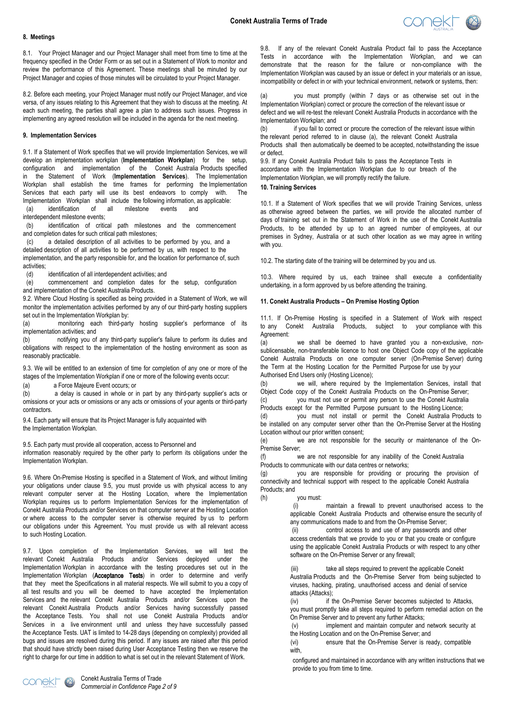

#### **8. Meetings**

8.1. Your Project Manager and our Project Manager shall meet from time to time at the frequency specified in the Order Form or as set out in a Statement of Work to monitor and review the performance of this Agreement. These meetings shall be minuted by our Project Manager and copies of those minutes will be circulated to your Project Manager.

8.2. Before each meeting, your Project Manager must notify our Project Manager, and vice versa, of any issues relating to this Agreement that they wish to discuss at the meeting. At each such meeting, the parties shall agree a plan to address such issues. Progress in implementing any agreed resolution will be included in the agenda for the next meeting.

# **9. Implementation Services**

9.1. If a Statement of Work specifies that we will provide Implementation Services, we will develop an implementation workplan (**Implementation Workplan**) for the setup, configuration and implementation of the Conekt Australia Products specified in the Statement of Work (**Implementation Services**). The Implementation Workplan shall establish the time frames for performing the Implementation Services that each party will use its best endeavors to comply with. The Implementation Workplan shall include the following information, as applicable:

(a) identification of all milestone events and

interdependent milestone events;

(b) identification of critical path milestones and the commencement and completion dates for such critical path milestones;

(c) a detailed description of all activities to be performed by you, and a detailed description of all activities to be performed by us, with respect to the implementation, and the party responsible for, and the location for performance of, such activities;

(d) identification of all interdependent activities; and

(e) commencement and completion dates for the setup, configuration and implementation of the Conekt Australia Products.

9.2. Where Cloud Hosting is specified as being provided in a Statement of Work, we will monitor the implementation activities performed by any of our third-party hosting suppliers set out in the Implementation Workplan by:

(a) monitoring each third-party hosting supplier's performance of its implementation activities; and<br>(b) notifying you of

notifying you of any third-party supplier's failure to perform its duties and obligations with respect to the implementation of the hosting environment as soon as reasonably practicable.

9.3. We will be entitled to an extension of time for completion of any one or more of the stages of the Implementation Workplan if one or more of the following events occur:

(a) a Force Majeure Event occurs; or

(b) a delay is caused in whole or in part by any third-party supplier's acts or omissions or your acts or omissions or any acts or omissions of your agents or third-party contractors.

9.4. Each party will ensure that its Project Manager is fully acquainted with the Implementation Workplan.

9.5. Each party must provide all cooperation, access to Personnel and

information reasonably required by the other party to perform its obligations under the Implementation Workplan.

9.6. Where On-Premise Hosting is specified in a Statement of Work, and without limiting your obligations under clause 9.5, you must provide us with physical access to any relevant computer server at the Hosting Location, where the Implementation Workplan requires us to perform Implementation Services for the implementation of Conekt Australia Products and/or Services on that computer server at the Hosting Location or where access to the computer server is otherwise required by us to perform our obligations under this Agreement. You must provide us with all relevant access to such Hosting Location.

9.7. Upon completion of the Implementation Services, we will test the relevant Conekt Australia Products and/or Services deployed under the Implementation Workplan in accordance with the testing procedures set out in the Implementation Workplan (Acceptance Tests) in order to determine and verify that they meet the Specifications in all material respects. We will submit to you a copy of all test results and you will be deemed to have accepted the Implementation Services and the relevant Conekt Australia Products and/or Services upon the relevant Conekt Australia Products and/or Services having successfully passed the Acceptance Tests. You shall not use Conekt Australia Products and/or Services in a live environment until and unless they have successfully passed the Acceptance Tests. UAT is limited to 14-28 days (depending on complexity) provided all bugs and issues are resolved during this period. If any issues are raised after this period that should have strictly been raised during User Acceptance Testing then we reserve the right to charge for our time in addition to what is set out in the relevant Statement of Work.

9.8. If any of the relevant Conekt Australia Product fail to pass the Acceptance Tests in accordance with the Implementation Workplan, and we can demonstrate that the reason for the failure or non-compliance with the Implementation Workplan was caused by an issue or defect in your materials or an issue, incompatibility or defect in or with your technical environment, network or systems, then:

you must promptly (within 7 days or as otherwise set out in the Implementation Workplan) correct or procure the correction of the relevant issue or defect and we will re-test the relevant Conekt Australia Products in accordance with the Implementation Workplan; and

(b) if you fail to correct or procure the correction of the relevant issue within the relevant period referred to in clause (a), the relevant Conekt Australia Products shall then automatically be deemed to be accepted, notwithstanding the issue or defect.

9.9. If any Conekt Australia Product fails to pass the Acceptance Tests in accordance with the Implementation Workplan due to our breach of the Implementation Workplan, we will promptly rectify the failure.

## **10. Training Services**

10.1. If a Statement of Work specifies that we will provide Training Services, unless as otherwise agreed between the parties, we will provide the allocated number of days of training set out in the Statement of Work in the use of the Conekt Australia Products, to be attended by up to an agreed number of employees, at our premises in Sydney, Australia or at such other location as we may agree in writing with you.

10.2. The starting date of the training will be determined by you and us.

10.3. Where required by us, each trainee shall execute a confidentiality undertaking, in a form approved by us before attending the training.

## **11. Conekt Australia Products – On Premise Hosting Option**

11.1. If On-Premise Hosting is specified in a Statement of Work with respect to any Conekt Australia Products, subject to your compliance with this Agreement:

(a) we shall be deemed to have granted you a non-exclusive, nonsublicensable, non-transferable licence to host one Object Code copy of the applicable Conekt Australia Products on one computer server (On-Premise Server) during the Term at the Hosting Location for the Permitted Purpose for use by your Authorised End Users only (Hosting Licence);

(b) we will, where required by the Implementation Services, install that Object Code copy of the Conekt Australia Products on the On-Premise Server; (c) you must not use or permit any person to use the Conekt Australia Products except for the Permitted Purpose pursuant to the Hosting Licence;

(d) you must not install or permit the Conekt Australia Products to be installed on any computer server other than the On-Premise Server at the Hosting Location without our prior written consent;

(e) we are not responsible for the security or maintenance of the On-Premise Server;

(f) we are not responsible for any inability of the Conekt Australia Products to communicate with our data centres or networks;

(g) you are responsible for providing or procuring the provision of connectivity and technical support with respect to the applicable Conekt Australia Products; and

(h) you must:

(i) maintain a firewall to prevent unauthorised access to the applicable Conekt Australia Products and otherwise ensure the security of any communications made to and from the On-Premise Server;

(ii) control access to and use of any passwords and other access credentials that we provide to you or that you create or configure using the applicable Conekt Australia Products or with respect to any other software on the On-Premise Server or any firewall;

(iii) take all steps required to prevent the applicable Conekt Australia Products and the On-Premise Server from being subjected to viruses, hacking, pirating, unauthorised access and denial of service attacks (Attacks);

(iv) if the On-Premise Server becomes subjected to Attacks, you must promptly take all steps required to perform remedial action on the On Premise Server and to prevent any further Attacks;

(v) implement and maintain computer and network security at the Hosting Location and on the On-Premise Server; and

(vi) ensure that the On-Premise Server is ready, compatible with,

configured and maintained in accordance with any written instructions that we provide to you from time to time.

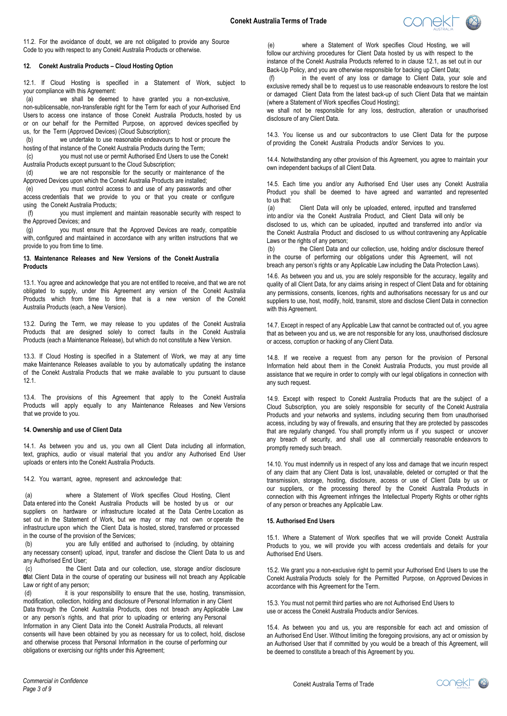

11.2. For the avoidance of doubt, we are not obligated to provide any Source Code to you with respect to any Conekt Australia Products or otherwise.

## **12. Conekt Australia Products – Cloud Hosting Option**

12.1. If Cloud Hosting is specified in a Statement of Work, subject to your compliance with this Agreement:

(a) we shall be deemed to have granted you a non-exclusive, non-sublicensable, non-transferable right for the Term for each of your Authorised End Users to access one instance of those Conekt Australia Products, hosted by us or on our behalf for the Permitted Purpose, on approved devices specified by us, for the Term (Approved Devices) (Cloud Subscription);

(b) we undertake to use reasonable endeavours to host or procure the hosting of that instance of the Conekt Australia Products during the Term;

(c) you must not use or permit Authorised End Users to use the Conekt Australia Products except pursuant to the Cloud Subscription;<br>(d) we are not responsible for the security or m

we are not responsible for the security or maintenance of the Approved Devices upon which the Conekt Australia Products are installed;

(e) you must control access to and use of any passwords and other access credentials that we provide to you or that you create or configure using the Conekt Australia Products;

(f) you must implement and maintain reasonable security with respect to the Approved Devices; and

(g) you must ensure that the Approved Devices are ready, compatible with, configured and maintained in accordance with any written instructions that we provide to you from time to time.

## **13. Maintenance Releases and New Versions of the Conekt Australia Products**

13.1. You agree and acknowledge that you are not entitled to receive, and that we are not obligated to supply, under this Agreement any version of the Conekt Australia Products which from time to time that is a new version of the Conekt Australia Products (each, a New Version).

13.2. During the Term, we may release to you updates of the Conekt Australia Products that are designed solely to correct faults in the Conekt Australia Products (each a Maintenance Release), but which do not constitute a New Version.

13.3. If Cloud Hosting is specified in a Statement of Work, we may at any time make Maintenance Releases available to you by automatically updating the instance of the Conekt Australia Products that we make available to you pursuant to clause 12.1.

13.4. The provisions of this Agreement that apply to the Conekt Australia Products will apply equally to any Maintenance Releases and New Versions that we provide to you.

## **14. Ownership and use of Client Data**

14.1. As between you and us, you own all Client Data including all information, text, graphics, audio or visual material that you and/or any Authorised End User uploads or enters into the Conekt Australia Products.

14.2. You warrant, agree, represent and acknowledge that:

(a) where a Statement of Work specifies Cloud Hosting, Client Data entered into the Conekt Australia Products will be hosted by us or our suppliers on hardware or infrastructure located at the Data Centre Location as set out in the Statement of Work, but we may or may not own or operate the infrastructure upon which the Client Data is hosted, stored, transferred or processed in the course of the provision of the Services;

(b) you are fully entitled and authorised to (including, by obtaining any necessary consent) upload, input, transfer and disclose the Client Data to us and any Authorised End User;

(c) the Client Data and our collection, use, storage and/or disclosure that Client Data in the course of operating our business will not breach any Applicable Law or right of any person;

(d) it is your responsibility to ensure that the use, hosting, transmission, modification, collection, holding and disclosure of Personal Information in any Client Data through the Conekt Australia Products, does not breach any Applicable Law or any person's rights, and that prior to uploading or entering any Personal Information in any Client Data into the Conekt Australia Products, all relevant consents will have been obtained by you as necessary for us to collect, hold, disclose and otherwise process that Personal Information in the course of performing our obligations or exercising our rights under this Agreement;

(e) where a Statement of Work specifies Cloud Hosting, we will follow our archiving procedures for Client Data hosted by us with respect to the instance of the Conekt Australia Products referred to in clause 12.1, as set out in our Back-Up Policy, and you are otherwise responsible for backing up Client Data;

(f) in the event of any loss or damage to Client Data, your sole and exclusive remedy shall be to request us to use reasonable endeavours to restore the lost or damaged Client Data from the latest back-up of such Client Data that we maintain (where a Statement of Work specifies Cloud Hosting);

we shall not be responsible for any loss, destruction, alteration or unauthorised disclosure of any Client Data.

14.3. You license us and our subcontractors to use Client Data for the purpose of providing the Conekt Australia Products and/or Services to you.

14.4. Notwithstanding any other provision of this Agreement, you agree to maintain your own independent backups of all Client Data.

14.5. Each time you and/or any Authorised End User uses any Conekt Australia Product you shall be deemed to have agreed and warranted and represented to us that:<br> $(a)$ 

Client Data will only be uploaded, entered, inputted and transferred into and/or via the Conekt Australia Product, and Client Data will only be disclosed to us, which can be uploaded, inputted and transferred into and/or via the Conekt Australia Product and disclosed to us without contravening any Applicable Laws or the rights of any person;

(b) the Client Data and our collection, use, holding and/or disclosure thereof in the course of performing our obligations under this Agreement, will not breach any person's rights or any Applicable Law including the Data Protection Laws).

14.6. As between you and us, you are solely responsible for the accuracy, legality and quality of all Client Data, for any claims arising in respect of Client Data and for obtaining any permissions, consents, licences, rights and authorisations necessary for us and our suppliers to use, host, modify, hold, transmit, store and disclose Client Data in connection with this Agreement.

14.7. Except in respect of any Applicable Law that cannot be contracted out of, you agree that as between you and us, we are not responsible for any loss, unauthorised disclosure or access, corruption or hacking of any Client Data.

14.8. If we receive a request from any person for the provision of Personal Information held about them in the Conekt Australia Products, you must provide all assistance that we require in order to comply with our legal obligations in connection with any such request.

14.9. Except with respect to Conekt Australia Products that are the subject of a Cloud Subscription, you are solely responsible for security of the Conekt Australia Products and your networks and systems, including securing them from unauthorised access, including by way of firewalls, and ensuring that they are protected by passcodes that are regularly changed. You shall promptly inform us if you suspect or uncover any breach of security, and shall use all commercially reasonable endeavors to promptly remedy such breach.

14.10. You must indemnify us in respect of any loss and damage that we incurin respect of any claim that any Client Data is lost, unavailable, deleted or corrupted or that the transmission, storage, hosting, disclosure, access or use of Client Data by us or our suppliers, or the processing thereof by the Conekt Australia Products in connection with this Agreement infringes the Intellectual Property Rights or other rights of any person or breaches any Applicable Law.

## **15. Authorised End Users**

15.1. Where a Statement of Work specifies that we will provide Conekt Australia Products to you, we will provide you with access credentials and details for your Authorised End Users.

15.2. We grant you a non-exclusive right to permit your Authorised End Users to use the Conekt Australia Products solely for the Permitted Purpose, on Approved Devices in accordance with this Agreement for the Term.

15.3. You must not permit third parties who are not Authorised End Users to use or access the Conekt Australia Products and/or Services.

15.4. As between you and us, you are responsible for each act and omission of an Authorised End User. Without limiting the foregoing provisions, any act or omission by an Authorised User that if committed by you would be a breach of this Agreement, will be deemed to constitute a breach of this Agreement by you.

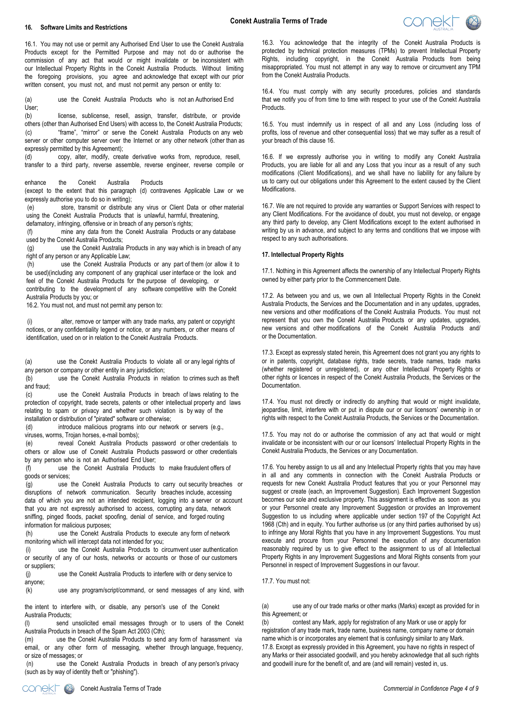### **16. Software Limits and Restrictions**



16.1. You may not use or permit any Authorised End User to use the Conekt Australia Products except for the Permitted Purpose and may not do or authorise the commission of any act that would or might invalidate or be inconsistent with our Intellectual Property Rights in the Conekt Australia Products. Without limiting the foregoing provisions, you agree and acknowledge that except with our prior written consent, you must not, and must not permit any person or entity to:

(a) use the Conekt Australia Products who is not an Authorised End User;

(b) license, sublicense, resell, assign, transfer, distribute, or provide others (other than Authorised End Users) with access to, the Conekt Australia Products; (c) "frame", "mirror" or serve the Conekt Australia Products on any web server or other computer server over the Internet or any other network (other than as expressly permitted by this Agreement);

(d) copy, alter, modify, create derivative works from, reproduce, resell, transfer to a third party, reverse assemble, reverse engineer, reverse compile or

enhance the Conekt Australia Products

(except to the extent that this paragraph (d) contravenes Applicable Law or we expressly authorise you to do so in writing);

(e) store, transmit or distribute any virus or [Clien](#page-3-0)t Data or other material using the Conekt Australia Products that is unlawful, harmful, threatening,

defamatory, infringing, offensive or in breach of any person's rights;

(f) mine any data from the Conekt Australia Products or any database used by the Conekt Australia Products;

(g) use the Conekt Australia Products in any way which is in breach of any right of any person or any Applicable Law;

(h) use the Conekt Australia Products or any part of them (or allow it to be used)(including any component of any graphical user interface or the look and feel of the Conekt Australia Products for the purpose of developing, or contributing to the development of any software competitive with the Conekt Australia Products by you; or

16.2. You must not, and must not permit any person to:

(i) alter, remove or tamper with any trade marks, any patent or copyright notices, or any confidentiality legend or notice, or any numbers, or other means of identification, used on or in relation to the Conekt Australia Products.

(a) use the Conekt Australia Products to violate all or any legal rights of any person or company or other entity in any jurisdiction;

(b) use the Conekt Australia Products in relation to crimes such as theft and fraud;<br>(c)

use the Conekt Australia Products in breach of laws relating to the protection of copyright, trade secrets, patents or other intellectual property and laws relating to spam or privacy and whether such violation is by way of the

installation or distribution of "pirated" software or otherwise;<br>(d) introduce malicious programs into our netwo introduce malicious programs into our network or servers (e.g., viruses, worms, Trojan horses, e-mail bombs);

<span id="page-3-0"></span>(e) reveal Conekt Australia Products password or other credentials to others or allow use of Conekt Australia Products password or other credentials by any person who is not an Authorised End User;

(f) use the Conekt Australia Products to make fraudulent offers of goods or services;

(g) use the Conekt Australia Products to carry out security breaches or disruptions of network communication. Security breaches include, accessing data of which you are not an intended recipient, logging into a server or account that you are not expressly authorised to access, corrupting any data, network sniffing, pinged floods, packet spoofing, denial of service, and forged routing information for malicious purposes;

(h) use the Conekt Australia Products to execute any form of network monitoring which will intercept data not intended for you;

(i) use the Conekt Australia Products to circumvent user authentication or security of any of our hosts, networks or accounts or those of our customers or suppliers;

(j) use the Conekt Australia Products to interfere with or deny service to anyone;

(k) use any program/script/command, or send messages of any kind, with

the intent to interfere with, or disable, any person's use of the Conekt Australia Products;

(l) send unsolicited email messages through or to users of the Conekt

Australia Products in breach of the Spam Act 2003 (Cth);<br>(m) use the Conekt Australia Products to send use the Conekt Australia Products to send any form of harassment via email, or any other form of messaging, whether through language, frequency, or size of messages; or

(n) use the Conekt Australia Products in breach of any person's privacy (such as by way of identity theft or "phishing").

16.3. You acknowledge that the integrity of the Conekt Australia Products is protected by technical protection measures (TPMs) to prevent Intellectual Property Rights, including copyright, in the Conekt Australia Products from being misappropriated. You must not attempt in any way to remove or circumvent any TPM from the Conekt Australia Products.

16.4. You must comply with any security procedures, policies and standards that we notify you of from time to time with respect to your use of the Conekt Australia Products.

16.5. You must indemnify us in respect of all and any Loss (including loss of profits, loss of revenue and other consequential loss) that we may suffer as a result of your breach of this clause 16.

16.6. If we expressly authorise you in writing to modify any Conekt Australia Products, you are liable for all and any Loss that you incur as a result of any such modifications (Client Modifications), and we shall have no liability for any failure by us to carry out our obligations under this Agreement to the extent caused by the Client Modifications.

16.7. We are not required to provide any warranties or Support Services with respect to any Client Modifications. For the avoidance of doubt, you must not develop, or engage any third party to develop, any Client Modifications except to the extent authorised in writing by us in advance, and subject to any terms and conditions that we impose with respect to any such authorisations.

#### **17. Intellectual Property Rights**

17.1. Nothing in this Agreement affects the ownership of any Intellectual Property Rights owned by either party prior to the Commencement Date.

17.2. As between you and us, we own all Intellectual Property Rights in the Conekt Australia Products, the Services and the Documentation and in any updates, upgrades, new versions and other modifications of the Conekt Australia Products. You must not represent that you own the Conekt Australia Products or any updates, upgrades, new versions and other modifications of the Conekt Australia Products and/ or the Documentation.

17.3. Except as expressly stated herein, this Agreement does not grant you any rights to or in patents, copyright, database rights, trade secrets, trade names, trade marks (whether registered or unregistered), or any other Intellectual Property Rights or other rights or licences in respect of the Conekt Australia Products, the Services or the Documentation.

17.4. You must not directly or indirectly do anything that would or might invalidate, jeopardise, limit, interfere with or put in dispute our or our licensors' ownership in or rights with respect to the Conekt Australia Products, the Services or the Documentation.

17.5. You may not do or authorise the commission of any act that would or might invalidate or be inconsistent with our or our licensors' Intellectual Property Rights in the Conekt Australia Products, the Services or any Documentation.

<span id="page-3-1"></span>17.6. You hereby assign to us all and any Intellectual Property rights that you may have in all and any comments in connection with the Conekt Australia Products or requests for new Conekt Australia Product features that you or your Personnel may suggest or create (each, an Improvement Suggestion). Each Improvement Suggestion becomes our sole and exclusive property. This assignment is effective as soon as you or your Personnel create any Improvement Suggestion or provides an Improvement Suggestion to us including where applicable under section 197 of the Copyright Act 1968 (Cth) and in equity. You further authorise us (or any third parties authorised by us) to infringe any Moral Rights that you have in any Improvement Suggestions. You must execute and procure from your Personnel the execution of any documentation reasonably required by us to give effect to the assignment to us of all Intellectual Property Rights in any Improvement Suggestions and Moral Rights consents from your Personnel in respect of Improvement Suggestions in our favour.

17.7. You must not:

(a) use any of our trade marks or other marks (Marks) except as provided for in this Agreement; or

(b) contest any Mark, apply for registration of any Mark or use or apply for registration of any trade mark, trade name, business name, company name or domain name which is or incorporates any element that is confusingly similar to any Mark. 17.8. Except as expressly provided in this Agreement, you have no rights in respect of any Marks or their associated goodwill, and you hereby acknowledge that all such rights and goodwill inure for the benefit of, and are (and will remain) vested in, us.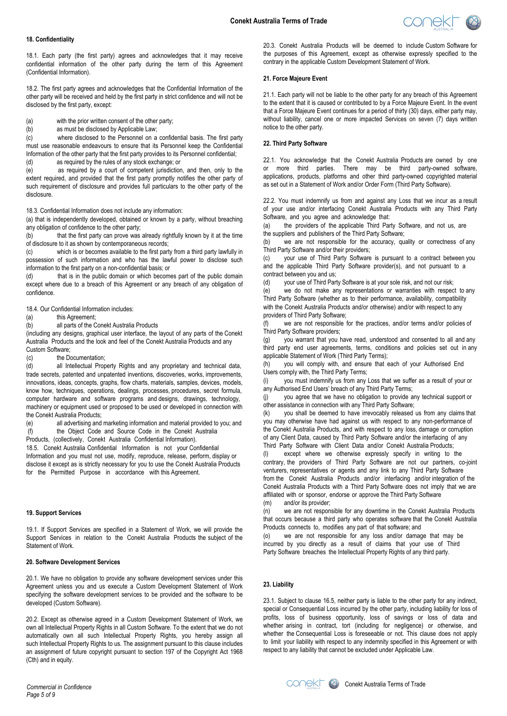

#### **18. Confidentiality**

18.1. Each party (the first party) agrees and acknowledges that it may receive confidential information of the other party during the term of this Agreement (Confidential Information).

18.2. The first party agrees and acknowledges that the Confidential Information of the other party will be received and held by the first party in strict confidence and will not be disclosed by the first party, except:

(a) with the prior written consent of the other party;

(b) as must be disclosed by Applicable Law;

(c) where disclosed to the Personnel on a confidential basis. The first party must use reasonable endeavours to ensure that its Personnel keep the Confidential Information of the other party that the first party provides to its Personnel confidential; (d) as required by the rules of any stock exchange; or

(e) as required by a court of competent jurisdiction, and then, only to the extent required, and provided that the first party promptly notifies the other party of such requirement of disclosure and provides full particulars to the other party of the disclosure.

18.3. Confidential Information does not include any information:

(a) that is independently developed, obtained or known by a party, without breaching any obligation of confidence to the other party;

(b) that the first party can prove was already rightfully known by it at the time of disclosure to it as shown by contemporaneous records;

(c) which is or becomes available to the first party from a third party lawfully in possession of such information and who has the lawful power to disclose such information to the first party on a non-confidential basis; or

(d) that is in the public domain or which becomes part of the public domain except where due to a breach of this Agreement or any breach of any obligation of confidence.

18.4. Our Confidential Information includes:

(a) this Agreement;

(b) all parts of the Conekt Australia Products

(including any designs, graphical user interface, the layout of any parts of the Conekt Australia Products and the look and feel of the Conekt Australia Products and any Custom Software;

(c) the Documentation;

(d) all Intellectual Property Rights and any proprietary and technical data, trade secrets, patented and unpatented inventions, discoveries, works, improvements, innovations, ideas, concepts, graphs, flow charts, materials, samples, devices, models, know how, techniques, operations, dealings, processes, procedures, secret formula, computer hardware and software programs and designs, drawings, technology, machinery or equipment used or proposed to be used or developed in connection with the Conekt Australia Products;

(e) all advertising and marketing information and material provided to you; and (f) the Object Code and Source Code in the Conekt Australia

Products, (collectively, Conekt Australia Confidential Information).

18.5. Conekt Australia Confidential Information is not your Confidential Information and you must not use, modify, reproduce, release, perform, display or disclose it except as is strictly necessary for you to use the Conekt Australia Products for the Permitted Purpose in accordance with this Agreement.

#### **19. Support Services**

19.1. If Support Services are specified in a Statement of Work, we will provide the Support Services in relation to the Conekt Australia Products the subject of the Statement of Work.

## **20. Software Development Services**

20.1. We have no obligation to provide any software development services under this Agreement unless you and us execute a Custom Development Statement of Work specifying the software development services to be provided and the software to be developed (Custom Software).

20.2. Except as otherwise agreed in a Custom Development Statement of Work, we own all Intellectual Property Rights in all Custom Software. To the extent that we do not automatically own all such Intellectual Property Rights, you hereby assign all such Intellectual Property Rights to us. The assignment pursuant to this clause includes an assignment of future copyright pursuant to section 197 of the Copyright Act 1968 (Cth) and in equity.

20.3. Conekt Australia Products will be deemed to include Custom Software for the purposes of this Agreement, except as otherwise expressly specified to the contrary in the applicable Custom Development Statement of Work.

## **21. Force Majeure Event**

21.1. Each party will not be liable to the other party for any breach of this Agreement to the extent that it is caused or contributed to by a Force Majeure Event. In the event that a Force Majeure Event continues for a period of thirty (30) days, either party may, without liability, cancel one or more impacted Services on seven (7) days written notice to the other party.

## **22. Third Party Software**

22.1. You acknowledge that the Conekt Australia Products are owned by one or more third parties. There may be third party-owned software, applications, products, platforms and other third party-owned copyrighted material as set out in a Statement of Work and/or Order Form (Third Party Software).

22.2. You must indemnify us from and against any Loss that we incur as a result of your use and/or interfacing Conekt Australia Products with any Third Party Software, and you agree and acknowledge that:

(a) the providers of the applicable Third Party Software, and not us, are the suppliers and publishers of the Third Party Software;

(b) we are not responsible for the accuracy, quality or correctness of any Third Party Software and/or their providers;<br>(c) vour use of Third Party Software

your use of Third Party Software is pursuant to a contract between you and the applicable Third Party Software provider(s), and not pursuant to a contract between you and us;

(d) your use of Third Party Software is at your sole risk, and not our risk;

(e) we do not make any representations or warranties with respect to any Third Party Software (whether as to their performance, availability, compatibility with the Conekt Australia Products and/or otherwise) and/or with respect to any providers of Third Party Software;

(f) we are not responsible for the practices, and/or terms and/or policies of Third Party Software providers;

(g) you warrant that you have read, understood and consented to all and any third party end user agreements, terms, conditions and policies set out in any applicable Statement of Work (Third Party Terms);

(h) you will comply with, and ensure that each of your Authorised End Users comply with, the Third Party Terms;

(i) you must indemnify us from any Loss that we suffer as a result of your or any Authorised End Users' breach of any Third Party Terms;

(j) you agree that we have no obligation to provide any technical support or other assistance in connection with any Third Party Software;

(k) you shall be deemed to have irrevocably released us from any claims that you may otherwise have had against us with respect to any non-performance of the Conekt Australia Products, and with respect to any loss, damage or corruption of any Client Data, caused by Third Party Software and/or the interfacing of any Third Party Software with Client Data and/or Conekt Australia Products;

(l) except where we otherwise expressly specify in writing to the contrary, the providers of Third Party Software are not our partners, co-joint venturers, representatives or agents and any link to any Third Party Software from the Conekt Australia Products and/or interfacing and/or integration of the Conekt Australia Products with a Third Party Software does not imply that we are affiliated with or sponsor, endorse or approve the Third Party Software (m) and/or its provider;

(n) we are not responsible for any downtime in the Conekt Australia Products that occurs because a third party who operates software that the Conekt Australia Products connects to, modifies any part of that software; and

(o) we are not responsible for any loss and/or damage that may be incurred by you directly as a result of claims that your use of Third Party Software breaches the Intellectual Property Rights of any third party.

### **23. Liability**

23.1. Subject to clause 16.5, neither party is liable to the other party for any indirect, special or Consequential Loss incurred by the other party, including liability for loss of profits, loss of business opportunity, loss of savings or loss of data and whether arising in contract, tort (including for negligence) or otherwise, and whether the Consequential Loss is foreseeable or not. This clause does not apply to limit your liability with respect to any indemnity specified in this Agreement or with respect to any liability that cannot be excluded under Applicable Law.

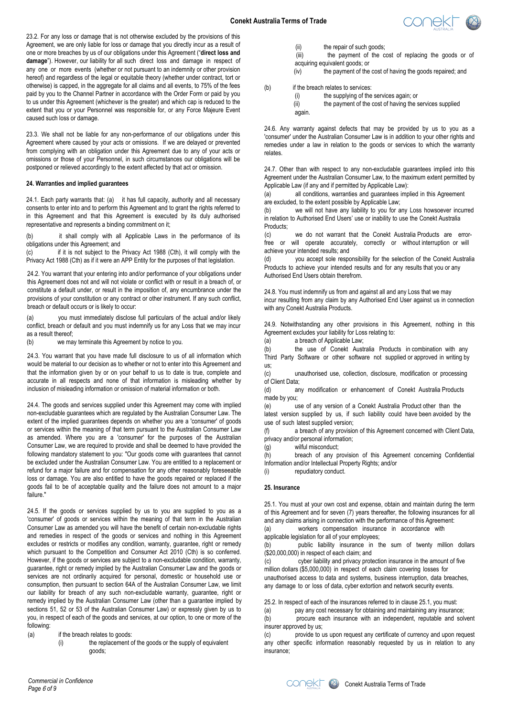

23.2. For any loss or damage that is not otherwise excluded by the provisions of this Agreement, we are only liable for loss or damage that you directly incur as a result of one or more breaches by us of our obligations under this Agreement ("**direct loss and damage**"). However, our liability for all such direct loss and damage in respect of any one or more events (whether or not pursuant to an indemnity or other provision hereof) and regardless of the legal or equitable theory (whether under contract, tort or otherwise) is capped, in the aggregate for all claims and all events, to 75% of the fees paid by you to the Channel Partner in accordance with the Order Form or paid by you to us under this Agreement (whichever is the greater) and which cap is reduced to the extent that you or your Personnel was responsible for, or any Force Majeure Event caused such loss or damage.

23.3. We shall not be liable for any non-performance of our obligations under this Agreement where caused by your acts or omissions. If we are delayed or prevented from complying with an obligation under this Agreement due to any of your acts or omissions or those of your Personnel, in such circumstances our obligations will be postponed or relieved accordingly to the extent affected by that act or omission.

## **24. Warranties and implied guarantees**

24.1. Each party warrants that: (a) it has full capacity, authority and all necessary consents to enter into and to perform this Agreement and to grant the rights referred to in this Agreement and that this Agreement is executed by its duly authorised representative and represents a binding commitment on it;

(b) it shall comply with all Applicable Laws in the performance of its obligations under this Agreement; and

(c) if it is not subject to the Privacy Act 1988 (Cth), it will comply with the Privacy Act 1988 (Cth) as if it were an APP Entity for the purposes of that legislation.

24.2. You warrant that your entering into and/or performance of your obligations under this Agreement does not and will not violate or conflict with or result in a breach of, or constitute a default under, or result in the imposition of, any encumbrance under the provisions of your constitution or any contract or other instrument. If any such conflict, breach or default occurs or is likely to occur:

(a) you must immediately disclose full particulars of the actual and/or likely conflict, breach or default and you must indemnify us for any Loss that we may incur as a result thereof;

(b) we may terminate this Agreement by notice to you.

24.3. You warrant that you have made full disclosure to us of all information which would be material to our decision as to whether or not to enter into this Agreement and that the information given by or on your behalf to us to date is true, complete and accurate in all respects and none of that information is misleading whether by inclusion of misleading information or omission of material information or both.

24.4. The goods and services supplied under this Agreement may come with implied non-excludable guarantees which are regulated by the Australian Consumer Law. The extent of the implied guarantees depends on whether you are a 'consumer' of goods or services within the meaning of that term pursuant to the Australian Consumer Law as amended. Where you are a 'consumer' for the purposes of the Australian Consumer Law, we are required to provide and shall be deemed to have provided the following mandatory statement to you: "Our goods come with guarantees that cannot be excluded under the Australian Consumer Law. You are entitled to a replacement or refund for a major failure and for compensation for any other reasonably foreseeable loss or damage. You are also entitled to have the goods repaired or replaced if the goods fail to be of acceptable quality and the failure does not amount to a major failure."

24.5. If the goods or services supplied by us to you are supplied to you as a 'consumer' of goods or services within the meaning of that term in the Australian Consumer Law as amended you will have the benefit of certain non-excludable rights and remedies in r[espect of](#page-3-1) the goods or services and nothing in this Agreement excludes or restricts or modifies any condition, warranty, guarantee, right or remedy which pursuant to the Competition and Consumer Act 2010 (Cth) is so conferred. However, if the goods or services are subject to a non-excludable condition, warranty, guarantee, right or remedy implied by the Australian Consumer Law and the goods or services are not ordinarily acquired for personal, domestic or household use or consumption, then pursuant to section 64A of the Australian Consumer Law, we limit our liability for breach of any such non-excludable warranty, guarantee, right or remedy implied by the Australian Consumer Law (other than a guarantee implied by sections 51, 52 or 53 of the Australian Consumer Law) or expressly given by us to you, in respect of each of the goods and services, at our option, to one or more of the following:

(a) if the breach relates to goods:

(i) the replacement of the goods or the supply of equivalent goods;

(ii) the repair of such goods;

(iii) the payment of the cost of replacing the goods or of acquiring equivalent goods; or

(iv) the payment of the cost of having the goods repaired; and

(b) if the breach relates to services:

(i) the supplying of the services again; or (ii) the payment of the cost of having the services supplied again.

24.6. Any warranty against defects that may be provided by us to you as a 'consumer' under the Australian Consumer Law is in addition to your other rights and remedies under a law in relation to the goods or services to which the warranty relates.

24.7. Other than with respect to any non-excludable guarantees implied into this Agreement under the Australian Consumer Law, to the maximum extent permitted by Applicable Law (if any and if permitted by Applicable Law):

(a) all conditions, warranties and guarantees implied in this Agreement are excluded, to the extent possible by Applicable Law;<br>(b) we will not have any liability to you for a

we will not have any liability to you for any Loss howsoever incurred in relation to Authorised End Users' use or inability to use the Conekt Australia Products;

(c) we do not warrant that the Conekt Australia Products are errorfree or will operate accurately, correctly or without interruption or will achieve your intended results; and

(d) you accept sole responsibility for the selection of the Conekt Australia Products to achieve your intended results and for any results that you or any Authorised End Users obtain therefrom.

24.8. You must indemnify us from and against all and any Loss that we may incur resulting from any claim by any Authorised End User against us in connection with any Conekt Australia Products.

24.9. Notwithstanding any other provisions in this Agreement, nothing in this Agreement excludes your liability for Loss relating to:

(a) a breach of Applicable Law;<br>(b) the use of Conekt Aust

the use of Conekt Australia Products in combination with any Third Party Software or other software not supplied or approved in writing by us;

(c) unauthorised use, collection, disclosure, modification or processing of Client Data;

(d) any modification or enhancement of Conekt Australia Products made by you;

(e) use of any version of a Conekt Australia Product other than the latest version supplied by us, if such liability could have been avoided by the use of such latest supplied version;

(f) a breach of any provision of this Agreement concerned with Client Data, privacy and/or personal information;

(g) wilful misconduct;

(h) breach of any provision of this Agreement concerning Confidential Information and/or Intellectual Property Rights; and/or

(i) repudiatory conduct.

## **25. Insurance**

25.1. You must at your own cost and expense, obtain and maintain during the term of this Agreement and for seven (7) years thereafter, the following insurances for all and any claims arising in connection with the performance of this Agreement:

(a) workers compensation insurance in accordance with applicable legislation for all of your employees;

(b) public liability insurance in the sum of twenty million dollars (\$20,000,000) in respect of each claim; and

(c) cyber liability and privacy protection insurance in the amount of five million dollars (\$5,000,000) in respect of each claim covering losses for unauthorised access to data and systems, business interruption, data breaches, any damage to or loss of data, cyber extortion and network security events.

25.2. In respect of each of the insurances referred to in clause 25.1, you must:

(a) pay any cost necessary for obtaining and maintaining any insurance;<br>(b) procure each insurance with an independent, reputable and solv procure each insurance with an independent, reputable and solvent insurer approved by us;

(c) provide to us upon request any certificate of currency and upon request any other specific information reasonably requested by us in relation to any insurance;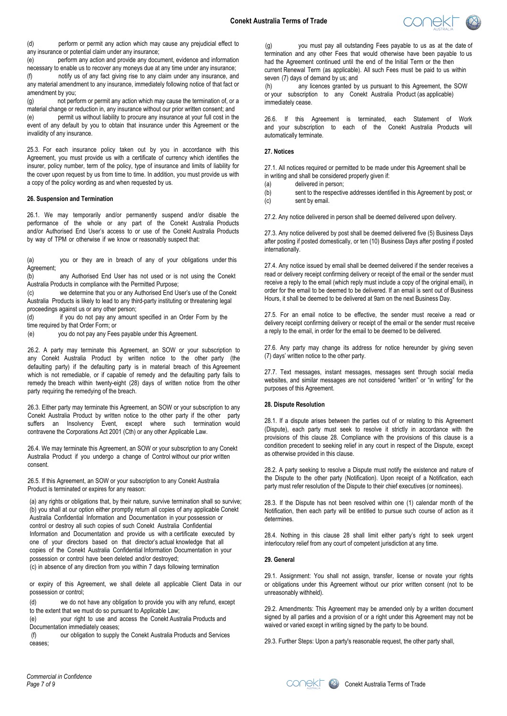

(d) perform or permit any action which may cause any prejudicial effect to any insurance or potential claim under any insurance;

(e) perform any action and provide any document, evidence and information necessary to enable us to recover any moneys due at any time under any insurance; (f) notify us of any fact giving rise to any claim under any insurance, and any material amendment to any insurance, immediately following notice of that fact or amendment by you;

(g) not perform or permit any action which may cause the termination of, or a material change or reduction in, any insurance without our prior written consent; and (e) permit us without liability to procure any insurance at your full cost in the event of any default by you to obtain that insurance under this Agreement or the invalidity of any insurance.

25.3. For each insurance policy taken out by you in accordance with this Agreement, you must provide us with a certificate of currency which identifies the insurer, policy number, term of the policy, type of insurance and limits of liability for the cover upon request by us from time to time. In addition, you must provide us with a copy of the policy wording as and when requested by us.

#### **26. Suspension and Termination**

26.1. We may temporarily and/or permanently suspend and/or disable the performance of the whole or any part of the Conekt Australia Products and/or Authorised End User's access to or use of the Conekt Australia Products by way of TPM or otherwise if we know or reasonably suspect that:

(a) you or they are in breach of any of your obligations under this Agreement;

(b) any Authorised End User has not used or is not using the Conekt Australia Products in compliance with the Permitted Purpose;

(c) we determine that you or any Authorised End User's use of the Conekt Australia Products is likely to lead to any third-party instituting or threatening legal proceedings against us or any other person;

(d) if you do not pay any amount specified in an Order Form by the time required by that Order Form; or

(e) you do not pay any Fees payable under this Agreement.

26.2. A party may terminate this Agreement, an SOW or your subscription to any Conekt Australia Product by written notice to the other party (the defaulting party) if the defaulting party is in material breach of this Agreement which is not remediable, or if capable of remedy and the defaulting party fails to remedy the breach within twenty-eight (28) days of written notice from the other party requiring the remedying of the breach.

26.3. Either party may terminate this Agreement, an SOW or your subscription to any Conekt Australia Product by written notice to the other party if the other party suffers an Insolvency Event, except where such termination would contravene the Corporations Act 2001 (Cth) or any other Applicable Law.

26.4. We may terminate this Agreement, an SOW or your subscription to any Conekt Australia Product if you undergo a change of Control without our prior written consent.

26.5. If this Agreement, an SOW or your subscription to any Conekt Australia Product is terminated or expires for any reason:

(a) any rights or obligations that, by their nature, survive termination shall so survive; (b) you shall at our option either promptly return all copies of any applicable Conekt Australia Confidential Information and Documentation in your possession or control or destroy all such copies of such Conekt Australia Confidential Information and Documentation and provide us with a certificate executed by one of your directors based on that director's actual knowledge that all copies of the Conekt Australia Confidential Information Documentation in your possession or control have been deleted and/or destroyed; (c) in absence of any direction from you within 7 days following termination

or expiry of this Agreement, we shall delete all applicable Client Data in our possession or control;

(d) we do not have any obligation to provide you with any refund, except to the extent that we must do so pursuant to Applicable Law;

(e) your right to use and access the Conekt Australia Products and Documentation immediately ceases;

(f) our obligation to supply the Conekt Australia Products and Services ceases;

(g) you must pay all outstanding Fees payable to us as at the date of termination and any other Fees that would otherwise have been payable to us had the Agreement continued until the end of the Initial Term or the then current Renewal Term (as applicable). All such Fees must be paid to us within seven (7) days of demand by us; and

(h) any licences granted by us pursuant to this Agreement, the SOW or your subscription to any Conekt Australia Product (as applicable) immediately cease.

26.6. If this Agreement is terminated, each Statement of Work and your subscription to each of the Conekt Australia Products will automatically terminate.

## **27. Notices**

27.1. All notices required or permitted to be made under this Agreement shall be in writing and shall be considered properly given if:

(a) delivered in person;

(c) sent by email.

(b) sent to the respective addresses identified in this Agreement by post; or

27.2. Any notice delivered in person shall be deemed delivered upon delivery.

27.3. Any notice delivered by post shall be deemed delivered five (5) Business Days after posting if posted domestically, or ten (10) Business Days after posting if posted internationally.

27.4. Any notice issued by email shall be deemed delivered if the sender receives a read or delivery receipt confirming delivery or receipt of the email or the sender must receive a reply to the email (which reply must include a copy of the original email), in order for the email to be deemed to be delivered. If an email is sent out of Business Hours, it shall be deemed to be delivered at 9am on the next Business Day.

27.5. For an email notice to be effective, the sender must receive a read or delivery receipt confirming delivery or receipt of the email or the sender must receive a reply to the email, in order for the email to be deemed to be delivered.

27.6. Any party may change its address for notice hereunder by giving seven (7) days' written notice to the other party.

27.7. Text messages, instant messages, messages sent through social media websites, and similar messages are not considered "written" or "in writing" for the purposes of this Agreement.

## **28. Dispute Resolution**

28.1. If a dispute arises between the parties out of or relating to this Agreement (Dispute), each party must seek to resolve it strictly in accordance with the provisions of this clause 28. Compliance with the provisions of this clause is a condition precedent to seeking relief in any court in respect of the Dispute, except as otherwise provided in this clause.

28.2. A party seeking to resolve a Dispute must notify the existence and nature of the Dispute to the other party (Notification). Upon receipt of a Notification, each party must refer resolution of the Dispute to their chief executives (or nominees).

28.3. If the Dispute has not been resolved within one (1) calendar month of the Notification, then each party will be entitled to pursue such course of action as it determines.

28.4. Nothing in this clause 28 shall limit either party's right to seek urgent interlocutory relief from any court of competent jurisdiction at any time.

## **29. General**

29.1. Assignment: You shall not assign, transfer, license or novate your rights or obligations under this Agreement without our prior written consent (not to be unreasonably withheld).

29.2. Amendments: This Agreement may be amended only by a written document signed by all parties and a provision of or a right under this Agreement may not be waived or varied except in writing signed by the party to be bound.

29.3. Further Steps: Upon a party's reasonable request, the other party shall,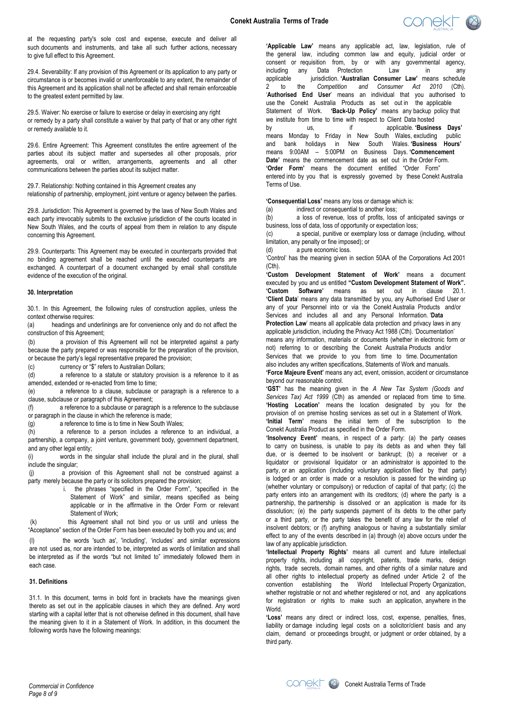

at the requesting party's sole cost and expense, execute and deliver all such documents and instruments, and take all such further actions, necessary to give full effect to this Agreement.

29.4. Severability: If any provision of this Agreement or its application to any party or circumstance is or becomes invalid or unenforceable to any extent, the remainder of this Agreement and its application shall not be affected and shall remain enforceable to the greatest extent permitted by law.

29.5. Waiver: No exercise or failure to exercise or delay in exercising any right or remedy by a party shall constitute a waiver by that party of that or any other right or remedy available to it.

29.6. Entire Agreement: This Agreement constitutes the entire agreement of the parties about its subject matter and supersedes all other proposals, prior agreements, oral or written, arrangements, agreements and all other communications between the parties about its subject matter.

29.7. Relationship: Nothing contained in this Agreement creates any relationship of partnership, employment, joint venture or agency between the parties.

29.8. Jurisdiction: This Agreement is governed by the laws of New South Wales and each party irrevocably submits to the exclusive jurisdiction of the courts located in New South Wales, and the courts of appeal from them in relation to any dispute concerning this Agreement.

29.9. Counterparts: This Agreement may be executed in counterparts provided that no binding agreement shall be reached until the executed counterparts are exchanged. A counterpart of a document exchanged by email shall constitute evidence of the execution of the original.

## **30. Interpretation**

30.1. In this Agreement, the following rules of construction applies, unless the context otherwise requires:

(a) headings and underlinings are for convenience only and do not affect the construction of this Agreement;

(b) a provision of this Agreement will not be interpreted against a party because the party prepared or was responsible for the preparation of the provision, or because the party's legal representative prepared the provision;

(c) currency or "\$" refers to Australian Dollars;

(d) a reference to a statute or statutory provision is a reference to it as amended, extended or re-enacted from time to time;

(e) a reference to a clause, subclause or paragraph is a reference to a clause, subclause or paragraph of this Agreement;

(f) a reference to a subclause or paragraph is a reference to the subclause or paragraph in the clause in which the reference is made;

(g) a reference to time is to time in New South Wales;

(h) a reference to a person includes a reference to an individual, a partnership, a company, a joint venture, government body, government department, and any other legal entity;

(i) words in the singular shall include the plural and in the plural, shall include the singular;

(j) a provision of this Agreement shall not be construed against a party merely because the party or its solicitors prepared the provision;

i. the phrases "specified in the Order Form", "specified in the Statement of Work" and similar, means specified as being applicable or in the affirmative in the Order Form or relevant Statement of Work;

(k) this Agreement shall not bind you or us until and unless the "Acceptance" section of the Order Form has been executed by both you and us; and

(l) the words 'such as', 'including', 'includes' and similar expressions are not used as, nor are intended to be, interpreted as words of limitation and shall be interpreted as if the words "but not limited to" immediately followed them in each case.

## **31. Definitions**

31.1. In this document, terms in bold font in brackets have the meanings given thereto as set out in the applicable clauses in which they are defined. Any word starting with a capital letter that is not otherwise defined in this document, shall have the meaning given to it in a Statement of Work. In addition, in this document the following words have the following meanings:

**'Applicable Law'** means any applicable act, law, legislation, rule of the general law, including common law and equity, judicial order or consent or requisition from, by or with any governmental agency, including any Data Protection Law in any any<br>applicable iurisdiction **Australian Consumer Law** means schedule iurisdiction. 'Australian Consumer Law' means schedule 2 to the *Competition and Consumer Act 2010* (Cth). '**Authorised End User**' means an individual that you authorised to use the Conekt Australia Products as set out in the applicable Statement of Work. **'Back-Up Policy'** means any backup policy that we institute from time to time with respect to Client Data hosted by us, if applicable. **'Business Days'**  means Monday to Friday in New South Wales, excluding public and bank holidays in New South Wales. **'Business Hours'**  means 9:00AM – 5:00PM on Business Days. **'Commencement Date'** means the commencement date as set out in the Order Form. **'Order Form'** means the document entitled "Order Form" entered into by you that is expressly governed by these Conekt Australia Terms of Use.

**'Consequential Loss'** means any loss or damage which is:

(a) indirect or consequential to another loss;<br>(b) a loss of revenue, loss of profits, loss

a loss of revenue, loss of profits, loss of anticipated savings or business, loss of data, loss of opportunity or expectation loss;

(c) a special, punitive or exemplary loss or damage (including, without limitation, any penalty or fine imposed); or

(d) a pure economic loss.

'Control' has the meaning given in section 50AA of the Corporations Act 2001 (Cth).

**'Custom Development Statement of Work'** means a document executed by you and us entitled **"Custom Development Statement of Work". 'Custom Software'** means as set out in clause 20.1. **'Client Data**' means any data transmitted by you, any Authorised End User or any of your Personnel into or via the Conekt Australia Products and/or Services and includes all and any Personal Information. '**Data Protection Law**' means all applicable data protection and privacy laws in any applicable jurisdiction, including the Privacy Act 1988 (Cth). 'Documentation' means any information, materials or documents (whether in electronic form or not) referring to or describing the Conekt Australia Products and/or Services that we provide to you from time to time. Documentation also includes any written specifications, Statements of Work and manuals. **'Force Majeure Event'** means any act, event, omission, accident or circumstance beyond our reasonable control.

**'GST'** has the meaning given in the *A New Tax System (Goods and Services Tax) Act 1999* (Cth) as amended or replaced from time to time. **'Hosting Location'** means the location designated by you for the provision of on premise hosting services as set out in a Statement of Work. **'Initial Term'** means the initial term of the subscription to the Conekt Australia Product as specified in the Order Form.

**'Insolvency Event'** means, in respect of a party: (a) the party ceases to carry on business, is unable to pay its debts as and when they fall due, or is deemed to be insolvent or bankrupt; (b) a receiver or a liquidator or provisional liquidator or an administrator is appointed to the party, or an application (including voluntary application filed by that party) is lodged or an order is made or a resolution is passed for the winding up (whether voluntary or compulsory) or reduction of capital of that party; (c) the party enters into an arrangement with its creditors; (d) where the party is a partnership, the partnership is dissolved or an application is made for its dissolution; (e) the party suspends payment of its debts to the other party or a third party, or the party takes the benefit of any law for the relief of insolvent debtors; or (f) anything analogous or having a substantially similar effect to any of the events described in (a) through (e) above occurs under the law of any applicable jurisdiction.

**'Intellectual Property Rights'** means all current and future intellectual property rights, including all copyright, patents, trade marks, design rights, trade secrets, domain names, and other rights of a similar nature and all other rights to intellectual property as defined under Article 2 of the convention establishing the World Intellectual Property Organization, whether registrable or not and whether registered or not, and any applications for registration or rights to make such an application, anywhere in the World.

**'Loss'** means any direct or indirect loss, cost, expense, penalties, fines, liability or damage including legal costs on a solicitor/client basis and any claim, demand or proceedings brought, or judgment or order obtained, by a third party.